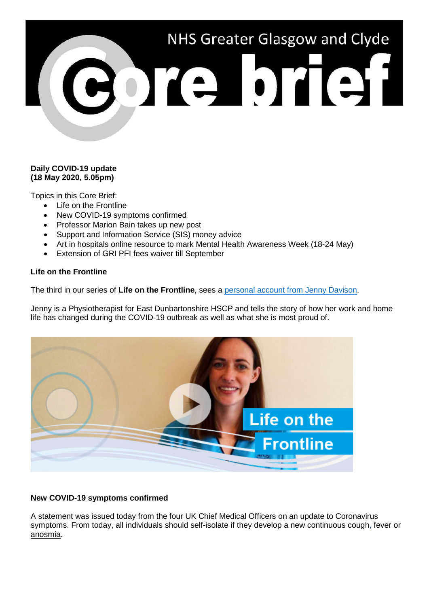# NHS Greater Glasgow and Clyde CORE DTEH

# **Daily COVID-19 update (18 May 2020, 5.05pm)**

Topics in this Core Brief:

- Life on the Frontline
- New COVID-19 symptoms confirmed
- Professor Marion Bain takes up new post
- Support and Information Service (SIS) money advice
- Art in hospitals online resource to mark Mental Health Awareness Week (18-24 May)
- Extension of GRI PFI fees waiver till September

# **Life on the Frontline**

The third in our series of **Life on the Frontline**, sees a [personal account from Jenny](https://www.youtube.com/watch?v=onvL_EEKCwo) Davison.

Jenny is a Physiotherapist for East Dunbartonshire HSCP and tells the story of how her work and home life has changed during the COVID-19 outbreak as well as what she is most proud of.



# **New COVID-19 symptoms confirmed**

A statement was issued today from the four UK Chief Medical Officers on an update to Coronavirus symptoms. From today, all individuals should self-isolate if they develop a new continuous cough, fever or anosmia.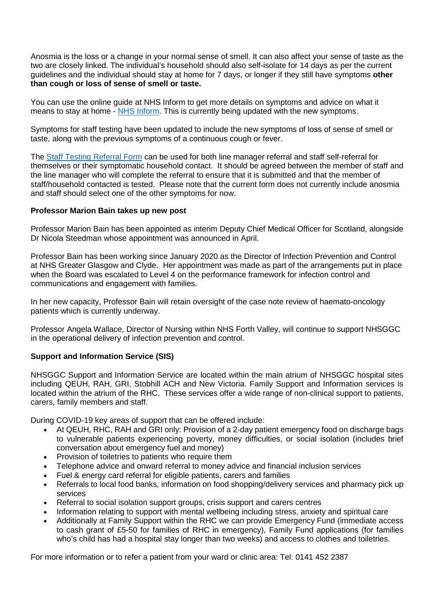Anosmia is the loss or a change in your normal sense of smell. It can also affect your sense of taste as the two are closely linked. The individual's household should also self-isolate for 14 days as per the current guidelines and the individual should stay at home for 7 days, or longer if they still have symptoms **other than cough or loss of sense of smell or taste.**

You can use the online guide at NHS Inform to get more details on symptoms and advice on what it means to stay at home - [NHS Inform.](https://www.nhsinform.scot/coronavirus#overview) This is currently being updated with the new symptoms.

Symptoms for staff testing have been updated to include the new symptoms of loss of sense of smell or taste, along with the previous symptoms of a continuous cough or fever.

The [Staff Testing Referral Form](https://forms.office.com/Pages/ResponsePage.aspx?id=veDvEDCgykuAnLXmdF5JmgW9YoY5w-BDlHK7ghonYUBUN0Q0NjJDQkNSV1VHRFlWVjFDMjc1V0VaOSQlQCN0PWcu) can be used for both line manager referral and staff self-referral for themselves or their symptomatic household contact. It should be agreed between the member of staff and the line manager who will complete the referral to ensure that it is submitted and that the member of staff/household contacted is tested. Please note that the current form does not currently include anosmia and staff should select one of the other symptoms for now.

#### **Professor Marion Bain takes up new post**

Professor Marion Bain has been appointed as interim Deputy Chief Medical Officer for Scotland, alongside Dr Nicola Steedman whose appointment was announced in April.

Professor Bain has been working since January 2020 as the Director of Infection Prevention and Control at NHS Greater Glasgow and Clyde. Her appointment was made as part of the arrangements put in place when the Board was escalated to Level 4 on the performance framework for infection control and communications and engagement with families.

In her new capacity, Professor Bain will retain oversight of the case note review of haemato-oncology patients which is currently underway.

Professor Angela Wallace, Director of Nursing within NHS Forth Valley, will continue to support NHSGGC in the operational delivery of infection prevention and control.

## **Support and Information Service (SIS)**

NHSGGC Support and Information Service are located within the main atrium of NHSGGC hospital sites including QEUH, RAH, GRI, Stobhill ACH and New Victoria. Family Support and Information services is located within the atrium of the RHC. These services offer a wide range of non-clinical support to patients, carers, family members and staff.

During COVID-19 key areas of support that can be offered include:

- At QEUH, RHC, RAH and GRI only: Provision of a 2-day patient emergency food on discharge bags to vulnerable patients experiencing poverty, money difficulties, or social isolation (includes brief conversation about emergency fuel and money)
- Provision of toiletries to patients who require them
- Telephone advice and onward referral to money advice and financial inclusion services
- Fuel & energy card referral for eligible patients, carers and families
- Referrals to local food banks, information on food shopping/delivery services and pharmacy pick up services
- Referral to social isolation support groups, crisis support and carers centres
- Information relating to support with mental wellbeing including stress, anxiety and spiritual care
- Additionally at Family Support within the RHC we can provide Emergency Fund (immediate access to cash grant of £5-50 for families of RHC in emergency), Family Fund applications (for families who's child has had a hospital stay longer than two weeks) and access to clothes and toiletries.

For more information or to refer a patient from your ward or clinic area: Tel: 0141 452 2387